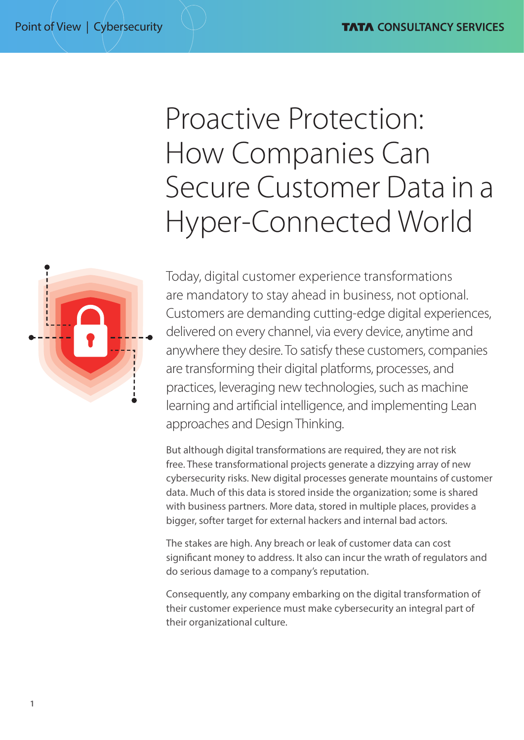# Proactive Protection: How Companies Can Secure Customer Data in a Hyper-Connected World



Today, digital customer experience transformations are mandatory to stay ahead in business, not optional. Customers are demanding cutting-edge digital experiences, delivered on every channel, via every device, anytime and anywhere they desire. To satisfy these customers, companies are transforming their digital platforms, processes, and practices, leveraging new technologies, such as machine learning and artificial intelligence, and implementing Lean approaches and Design Thinking.

But although digital transformations are required, they are not risk free. These transformational projects generate a dizzying array of new cybersecurity risks. New digital processes generate mountains of customer data. Much of this data is stored inside the organization; some is shared with business partners. More data, stored in multiple places, provides a bigger, softer target for external hackers and internal bad actors.

The stakes are high. Any breach or leak of customer data can cost significant money to address. It also can incur the wrath of regulators and do serious damage to a company's reputation.

Consequently, any company embarking on the digital transformation of their customer experience must make cybersecurity an integral part of their organizational culture.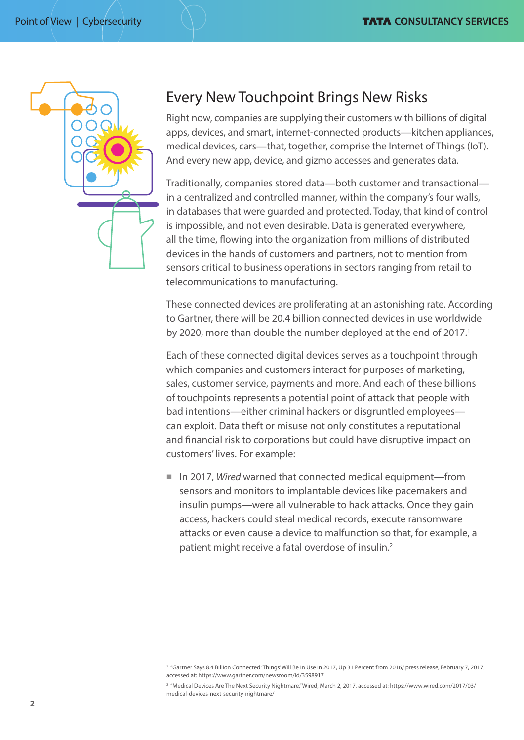

### Every New Touchpoint Brings New Risks

Right now, companies are supplying their customers with billions of digital apps, devices, and smart, internet-connected products—kitchen appliances, medical devices, cars—that, together, comprise the Internet of Things (IoT). And every new app, device, and gizmo accesses and generates data.

Traditionally, companies stored data—both customer and transactional in a centralized and controlled manner, within the company's four walls, in databases that were guarded and protected. Today, that kind of control is impossible, and not even desirable. Data is generated everywhere, all the time, flowing into the organization from millions of distributed devices in the hands of customers and partners, not to mention from sensors critical to business operations in sectors ranging from retail to telecommunications to manufacturing.

These connected devices are proliferating at an astonishing rate. According to Gartner, there will be 20.4 billion connected devices in use worldwide by 2020, more than double the number deployed at the end of 2017.<sup>1</sup>

Each of these connected digital devices serves as a touchpoint through which companies and customers interact for purposes of marketing, sales, customer service, payments and more. And each of these billions of touchpoints represents a potential point of attack that people with bad intentions—either criminal hackers or disgruntled employees can exploit. Data theft or misuse not only constitutes a reputational and financial risk to corporations but could have disruptive impact on customers' lives. For example:

■ In 2017, *Wired* warned that connected medical equipment—from sensors and monitors to implantable devices like pacemakers and insulin pumps—were all vulnerable to hack attacks. Once they gain access, hackers could steal medical records, execute ransomware attacks or even cause a device to malfunction so that, for example, a patient might receive a fatal overdose of insulin.<sup>2</sup>

<sup>&</sup>lt;sup>1</sup> "Gartner Says 8.4 Billion Connected 'Things' Will Be in Use in 2017, Up 31 Percent from 2016," press release, February 7, 2017, accessed at: https://www.gartner.com/newsroom/id/3598917

<sup>&</sup>lt;sup>2</sup> "Medical Devices Are The Next Security Nightmare," Wired, March 2, 2017, accessed at: [https://www.wired.com/2017/03/](https://www.wired.com/2017/03/medical-devices-next-security-nightmare/) [medical-devices-next-security-nightmare/](https://www.wired.com/2017/03/medical-devices-next-security-nightmare/)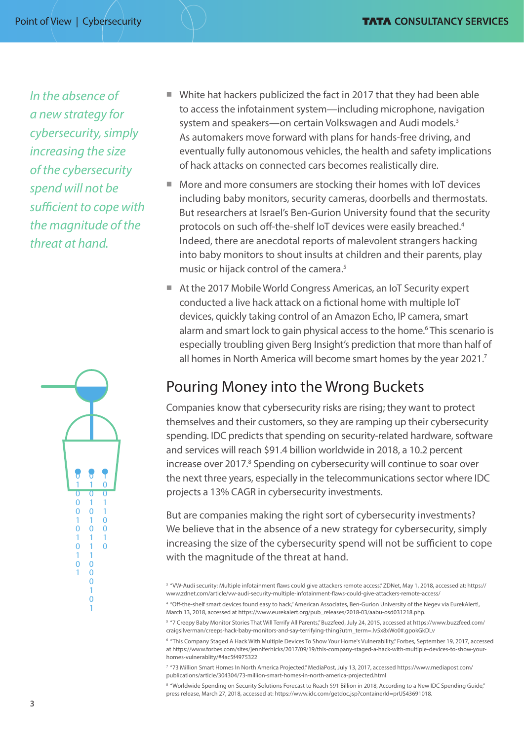*In the absence of a new strategy for cybersecurity, simply increasing the size of the cybersecurity spend will not be sufficient to cope with the magnitude of the threat at hand.*



- $\blacksquare$  White hat hackers publicized the fact in 2017 that they had been able to access the infotainment system—including microphone, navigation system and speakers—on certain Volkswagen and Audi models.<sup>3</sup> As automakers move forward with plans for hands-free driving, and eventually fully autonomous vehicles, the health and safety implications of hack attacks on connected cars becomes realistically dire.
- $\blacksquare$  More and more consumers are stocking their homes with IoT devices including baby monitors, security cameras, doorbells and thermostats. But researchers at Israel's Ben-Gurion University found that the security protocols on such off-the-shelf IoT devices were easily breached.<sup>4</sup> Indeed, there are anecdotal reports of malevolent strangers hacking into baby monitors to shout insults at children and their parents, play music or hijack control of the camera.<sup>5</sup>
- At the 2017 Mobile World Congress Americas, an IoT Security expert conducted a live hack attack on a fictional home with multiple IoT devices, quickly taking control of an Amazon Echo, IP camera, smart alarm and smart lock to gain physical access to the home.<sup>6</sup> This scenario is especially troubling given Berg Insight's prediction that more than half of all homes in North America will become smart homes by the year 2021.<sup>7</sup>

# Pouring Money into the Wrong Buckets

Companies know that cybersecurity risks are rising; they want to protect themselves and their customers, so they are ramping up their cybersecurity spending. IDC predicts that spending on security-related hardware, software and services will reach \$91.4 billion worldwide in 2018, a 10.2 percent increase over 2017.<sup>8</sup> Spending on cybersecurity will continue to soar over the next three years, especially in the telecommunications sector where IDC projects a 13% CAGR in cybersecurity investments.

But are companies making the right sort of cybersecurity investments? We believe that in the absence of a new strategy for cybersecurity, simply increasing the size of the cybersecurity spend will not be sufficient to cope with the magnitude of the threat at hand.

3 "VW-Audi security: Multiple infotainment flaws could give attackers remote access," ZDNet, May 1, 2018, accessed at: https:// www.zdnet.com/article/vw-audi-security-multiple-infotainment-flaws-could-give-attackers-remote-access/

4 "Off-the-shelf smart devices found easy to hack," American Associates, Ben-Gurion University of the Negev via EurekAlert!, March 13, 2018, accessed at https://www.eurekalert.org/pub\_releases/2018-03/aabu-osd031218.php.

<sup>5</sup> "7 Creepy Baby Monitor Stories That Will Terrify All Parents," Buzzfeed, July 24, 2015, accessed at [https://www.buzzfeed.com/](https://www.buzzfeed.com/craigsilverman/creeps-hack-baby-monitors-and-say-terrifying-thing?utm_term=.lv5x8xWo0#.gpokGkDLv) [craigsilverman/creeps-hack-baby-monitors-and-say-terrifying-thing?utm\\_term=.lv5x8xWo0#.gpokGkDLv](https://www.buzzfeed.com/craigsilverman/creeps-hack-baby-monitors-and-say-terrifying-thing?utm_term=.lv5x8xWo0#.gpokGkDLv)

<sup>6</sup> "This Company Staged A Hack With Multiple Devices To Show Your Home's Vulnerability," Forbes, September 19, 2017, accessed at https://www.forbes.com/sites/jenniferhicks/2017/09/19/this-company-staged-a-hack-with-multiple-devices-to-show-yourhomes-vulnerablity/#4ac5f4975322

7 "73 Million Smart Homes In North America Projected," MediaPost, July 13, 2017, accessed [https://www.mediapost.com/](https://www.mediapost.com/publications/article/304304/73-million-smart-homes-in-north-america-projected.html) [publications/article/304304/73-million-smart-homes-in-north-america-projected.html](https://www.mediapost.com/publications/article/304304/73-million-smart-homes-in-north-america-projected.html)

<sup>8</sup> "Worldwide Spending on Security Solutions Forecast to Reach \$91 Billion in 2018, According to a New IDC Spending Guide," press release, March 27, 2018, accessed at: https://www.idc.com/getdoc.jsp?containerId=prUS43691018.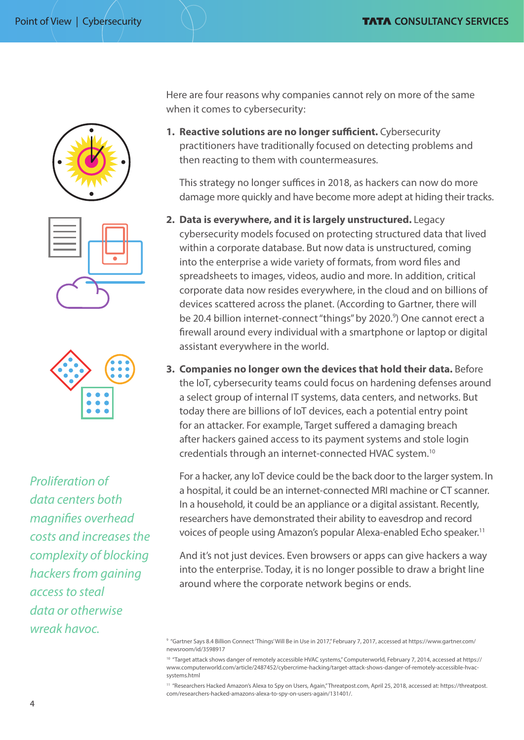





*Proliferation of data centers both magnifies overhead costs and increases the complexity of blocking hackers from gaining access to steal data or otherwise wreak havoc.*

Here are four reasons why companies cannot rely on more of the same when it comes to cybersecurity:

**1. Reactive solutions are no longer sufficient.** Cybersecurity practitioners have traditionally focused on detecting problems and then reacting to them with countermeasures.

This strategy no longer suffices in 2018, as hackers can now do more damage more quickly and have become more adept at hiding their tracks.

- **2. Data is everywhere, and it is largely unstructured.** Legacy cybersecurity models focused on protecting structured data that lived within a corporate database. But now data is unstructured, coming into the enterprise a wide variety of formats, from word files and spreadsheets to images, videos, audio and more. In addition, critical corporate data now resides everywhere, in the cloud and on billions of devices scattered across the planet. (According to Gartner, there will be 20.4 billion internet-connect "things" by 2020.<sup>9</sup>) One cannot erect a firewall around every individual with a smartphone or laptop or digital assistant everywhere in the world.
- **3. Companies no longer own the devices that hold their data.** Before the IoT, cybersecurity teams could focus on hardening defenses around a select group of internal IT systems, data centers, and networks. But today there are billions of IoT devices, each a potential entry point for an attacker. For example, Target suffered a damaging breach after hackers gained access to its payment systems and stole login credentials through an internet-connected HVAC system.10

For a hacker, any IoT device could be the back door to the larger system. In a hospital, it could be an internet-connected MRI machine or CT scanner. In a household, it could be an appliance or a digital assistant. Recently, researchers have demonstrated their ability to eavesdrop and record voices of people using Amazon's popular Alexa-enabled Echo speaker.11

And it's not just devices. Even browsers or apps can give hackers a way into the enterprise. Today, it is no longer possible to draw a bright line around where the corporate network begins or ends.

<sup>9</sup> "Gartner Says 8.4 Billion Connect 'Things' Will Be in Use in 2017," February 7, 2017, accessed at [https://www.gartner.com/](https://www.gartner.com/newsroom/id/3598917) [newsroom/id/3598917](https://www.gartner.com/newsroom/id/3598917)

<sup>&</sup>lt;sup>10</sup> "Target attack shows danger of remotely accessible HVAC systems," Computerworld, February 7, 2014, accessed at https:// www.computerworld.com/article/2487452/cybercrime-hacking/target-attack-shows-danger-of-remotely-accessible-hvacsystems.html

<sup>11 &</sup>quot;Researchers Hacked Amazon's Alexa to Spy on Users, Again," Threatpost.com, April 25, 2018, accessed at: [https://threatpost.](https://threatpost.com/researchers-hacked-amazons-alexa-to-spy-on-users-again/131401/) [com/researchers-hacked-amazons-alexa-to-spy-on-users-again/131401/.](https://threatpost.com/researchers-hacked-amazons-alexa-to-spy-on-users-again/131401/)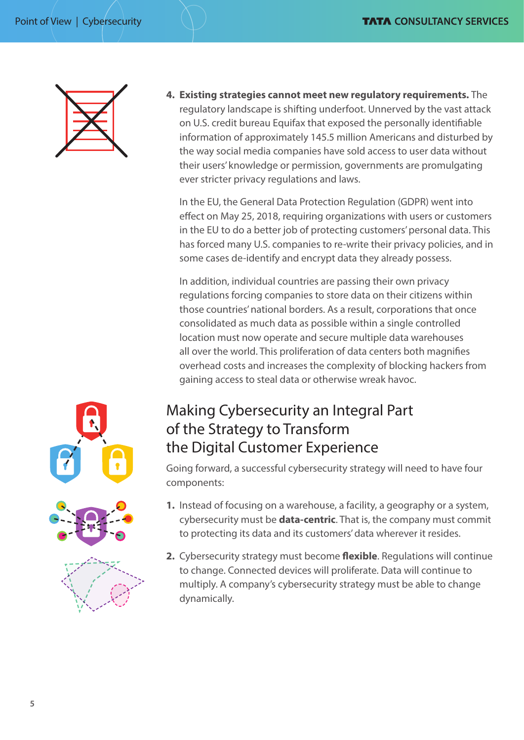

**4. Existing strategies cannot meet new regulatory requirements.** The regulatory landscape is shifting underfoot. Unnerved by the vast attack on U.S. credit bureau Equifax that exposed the personally identifiable information of approximately 145.5 million Americans and disturbed by the way social media companies have sold access to user data without their users' knowledge or permission, governments are promulgating ever stricter privacy regulations and laws.

In the EU, the General Data Protection Regulation (GDPR) went into effect on May 25, 2018, requiring organizations with users or customers in the EU to do a better job of protecting customers' personal data. This has forced many U.S. companies to re-write their privacy policies, and in some cases de-identify and encrypt data they already possess.

In addition, individual countries are passing their own privacy regulations forcing companies to store data on their citizens within those countries' national borders. As a result, corporations that once consolidated as much data as possible within a single controlled location must now operate and secure multiple data warehouses all over the world. This proliferation of data centers both magnifies overhead costs and increases the complexity of blocking hackers from gaining access to steal data or otherwise wreak havoc.

## Making Cybersecurity an Integral Part of the Strategy to Transform the Digital Customer Experience

Going forward, a successful cybersecurity strategy will need to have four components:

- **1.** Instead of focusing on a warehouse, a facility, a geography or a system, cybersecurity must be **data-centric**. That is, the company must commit to protecting its data and its customers' data wherever it resides.
- **2.** Cybersecurity strategy must become **flexible**. Regulations will continue to change. Connected devices will proliferate. Data will continue to multiply. A company's cybersecurity strategy must be able to change dynamically.

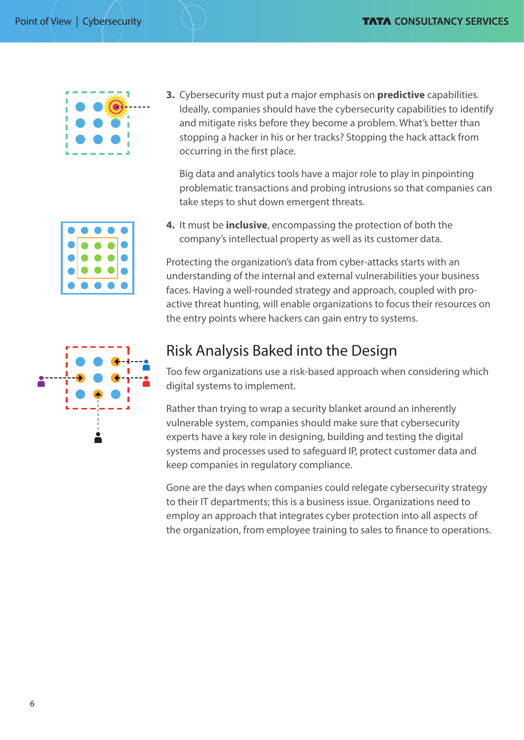

**3.** Cybersecurity must put a major emphasis on **predictive** capabilities. Ideally, companies should have the cybersecurity capabilities to identify and mitigate risks before they become a problem. What's better than stopping a hacker in his or her tracks? Stopping the hack attack from occurring in the first place.

Big data and analytics tools have a major role to play in pinpointing problematic transactions and probing intrusions so that companies can take steps to shut down emergent threats.

- 
- **4.** It must be **inclusive**, encompassing the protection of both the company's intellectual property as well as its customer data.

Protecting the organization's data from cyber-attacks starts with an understanding of the internal and external vulnerabilities your business faces. Having a well-rounded strategy and approach, coupled with proactive threat hunting, will enable organizations to focus their resources on the entry points where hackers can gain entry to systems.



# Risk Analysis Baked into the Design

Too few organizations use a risk-based approach when considering which digital systems to implement.

Rather than trying to wrap a security blanket around an inherently vulnerable system, companies should make sure that cybersecurity experts have a key role in designing, building and testing the digital systems and processes used to safeguard IP, protect customer data and keep companies in regulatory compliance.

Gone are the days when companies could relegate cybersecurity strategy to their IT departments; this is a business issue. Organizations need to employ an approach that integrates cyber protection into all aspects of the organization, from employee training to sales to finance to operations.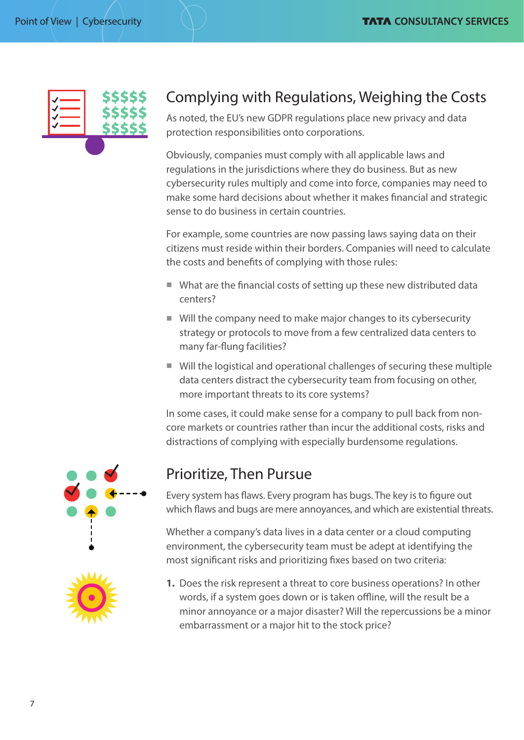

## Complying with Regulations, Weighing the Costs

As noted, the EU's new GDPR regulations place new privacy and data protection responsibilities onto corporations.

Obviously, companies must comply with all applicable laws and regulations in the jurisdictions where they do business. But as new cybersecurity rules multiply and come into force, companies may need to make some hard decisions about whether it makes financial and strategic sense to do business in certain countries.

For example, some countries are now passing laws saying data on their citizens must reside within their borders. Companies will need to calculate the costs and benefits of complying with those rules:

- $\blacksquare$  What are the financial costs of setting up these new distributed data centers?
- $\blacksquare$  Will the company need to make major changes to its cybersecurity strategy or protocols to move from a few centralized data centers to many far-flung facilities?
- $\blacksquare$  Will the logistical and operational challenges of securing these multiple data centers distract the cybersecurity team from focusing on other, more important threats to its core systems?

In some cases, it could make sense for a company to pull back from noncore markets or countries rather than incur the additional costs, risks and distractions of complying with especially burdensome regulations.



### Prioritize, Then Pursue

Every system has flaws. Every program has bugs. The key is to figure out which flaws and bugs are mere annoyances, and which are existential threats.

Whether a company's data lives in a data center or a cloud computing environment, the cybersecurity team must be adept at identifying the most significant risks and prioritizing fixes based on two criteria:



**1.** Does the risk represent a threat to core business operations? In other words, if a system goes down or is taken offline, will the result be a minor annoyance or a major disaster? Will the repercussions be a minor embarrassment or a major hit to the stock price?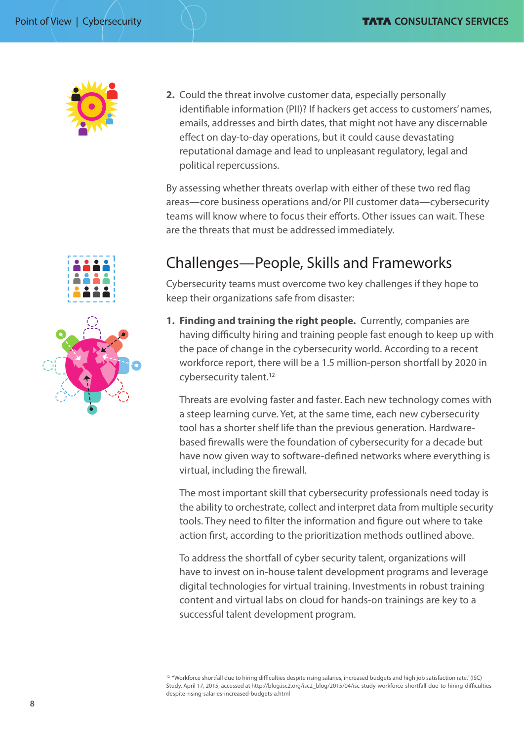

**2.** Could the threat involve customer data, especially personally identifiable information (PII)? If hackers get access to customers' names, emails, addresses and birth dates, that might not have any discernable effect on day-to-day operations, but it could cause devastating reputational damage and lead to unpleasant regulatory, legal and political repercussions.

By assessing whether threats overlap with either of these two red flag areas—core business operations and/or PII customer data—cybersecurity teams will know where to focus their efforts. Other issues can wait. These are the threats that must be addressed immediately.

# Challenges—People, Skills and Frameworks

Cybersecurity teams must overcome two key challenges if they hope to keep their organizations safe from disaster:

**1. Finding and training the right people.** Currently, companies are having difficulty hiring and training people fast enough to keep up with the pace of change in the cybersecurity world. According to a recent workforce report, there will be a 1.5 million-person shortfall by 2020 in cybersecurity talent.<sup>12</sup>

Threats are evolving faster and faster. Each new technology comes with a steep learning curve. Yet, at the same time, each new cybersecurity tool has a shorter shelf life than the previous generation. Hardwarebased firewalls were the foundation of cybersecurity for a decade but have now given way to software-defined networks where everything is virtual, including the firewall.

The most important skill that cybersecurity professionals need today is the ability to orchestrate, collect and interpret data from multiple security tools. They need to filter the information and figure out where to take action first, according to the prioritization methods outlined above.

To address the shortfall of cyber security talent, organizations will have to invest on in-house talent development programs and leverage digital technologies for virtual training. Investments in robust training content and virtual labs on cloud for hands-on trainings are key to a successful talent development program.

<sup>12</sup> "Workforce shortfall due to hiring difficulties despite rising salaries, increased budgets and high job satisfaction rate," (ISC) Study, April 17, 2015, accessed at http://blog.isc2.org/isc2\_blog/2015/04/isc-study-workforce-shortfall-due-to-hiring-difficultiesdespite-rising-salaries-increased-budgets-a.html



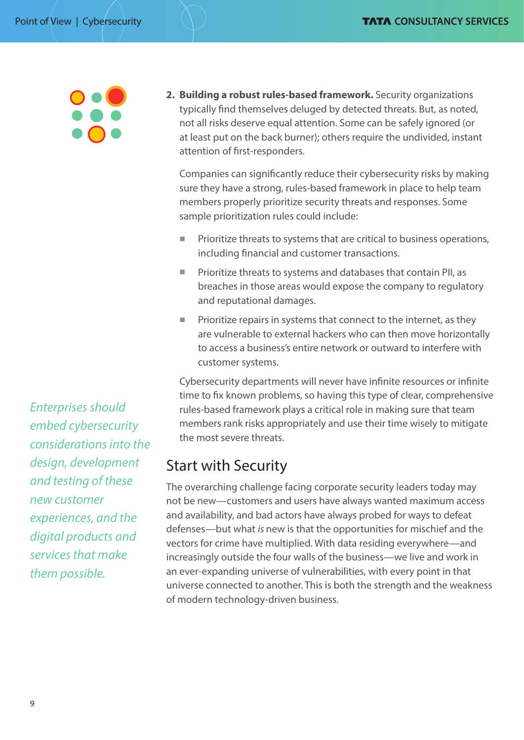**2. Building a robust rules-based framework.** Security organizations typically find themselves deluged by detected threats. But, as noted, not all risks deserve equal attention. Some can be safely ignored (or at least put on the back burner); others require the undivided, instant attention of first-responders.

Companies can significantly reduce their cybersecurity risks by making sure they have a strong, rules-based framework in place to help team members properly prioritize security threats and responses. Some sample prioritization rules could include:

- $\blacksquare$  Prioritize threats to systems that are critical to business operations, including financial and customer transactions.
- Prioritize threats to systems and databases that contain PII, as breaches in those areas would expose the company to regulatory and reputational damages.
- $\blacksquare$  Prioritize repairs in systems that connect to the internet, as they are vulnerable to external hackers who can then move horizontally to access a business's entire network or outward to interfere with customer systems.

Cybersecurity departments will never have infinite resources or infinite time to fix known problems, so having this type of clear, comprehensive rules-based framework plays a critical role in making sure that team members rank risks appropriately and use their time wisely to mitigate the most severe threats.

### Start with Security

The overarching challenge facing corporate security leaders today may not be new—customers and users have always wanted maximum access and availability, and bad actors have always probed for ways to defeat defenses—but what *is* new is that the opportunities for mischief and the vectors for crime have multiplied. With data residing everywhere—and increasingly outside the four walls of the business—we live and work in an ever-expanding universe of vulnerabilities, with every point in that universe connected to another. This is both the strength and the weakness of modern technology-driven business.

*Enterprises should embed cybersecurity considerations into the design, development and testing of these new customer experiences, and the digital products and services that make them possible.*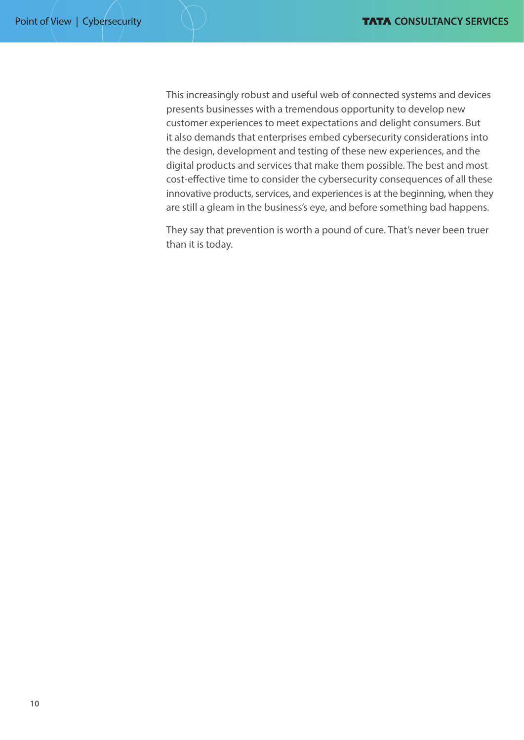This increasingly robust and useful web of connected systems and devices presents businesses with a tremendous opportunity to develop new customer experiences to meet expectations and delight consumers. But it also demands that enterprises embed cybersecurity considerations into the design, development and testing of these new experiences, and the digital products and services that make them possible. The best and most cost-effective time to consider the cybersecurity consequences of all these innovative products, services, and experiences is at the beginning, when they are still a gleam in the business's eye, and before something bad happens.

They say that prevention is worth a pound of cure. That's never been truer than it is today.